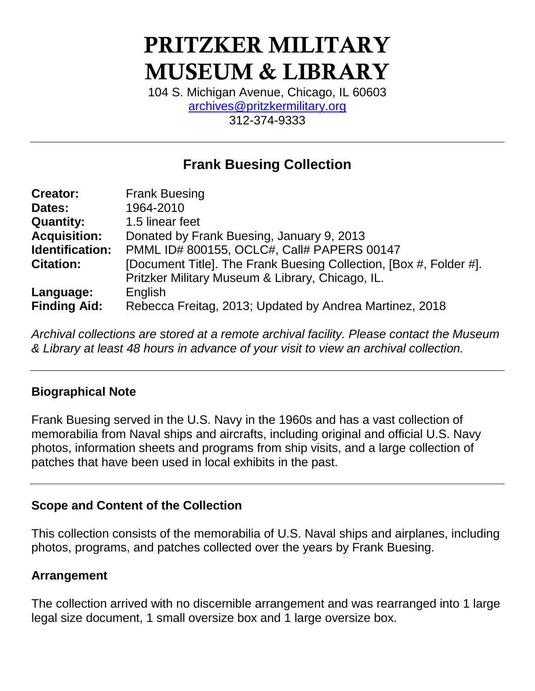# **PRITZKER MILITARY MUSEUM & LIBRARY**

104 S. Michigan Avenue, Chicago, IL 60603 [archives@pritzkermilitary.org](mailto:archives@pritzkermilitary.org) 312-374-9333

# **Frank Buesing Collection**

| <b>Creator:</b>     | <b>Frank Buesing</b>                                               |
|---------------------|--------------------------------------------------------------------|
| Dates:              | 1964-2010                                                          |
| <b>Quantity:</b>    | 1.5 linear feet                                                    |
| <b>Acquisition:</b> | Donated by Frank Buesing, January 9, 2013                          |
| Identification:     | PMML ID# 800155, OCLC#, Call# PAPERS 00147                         |
| <b>Citation:</b>    | [Document Title]. The Frank Buesing Collection, [Box #, Folder #]. |
|                     | Pritzker Military Museum & Library, Chicago, IL.                   |
| Language:           | English                                                            |
| <b>Finding Aid:</b> | Rebecca Freitag, 2013; Updated by Andrea Martinez, 2018            |

*Archival collections are stored at a remote archival facility. Please contact the Museum & Library at least 48 hours in advance of your visit to view an archival collection.*

#### **Biographical Note**

Frank Buesing served in the U.S. Navy in the 1960s and has a vast collection of memorabilia from Naval ships and aircrafts, including original and official U.S. Navy photos, information sheets and programs from ship visits, and a large collection of patches that have been used in local exhibits in the past.

#### **Scope and Content of the Collection**

This collection consists of the memorabilia of U.S. Naval ships and airplanes, including photos, programs, and patches collected over the years by Frank Buesing.

#### **Arrangement**

The collection arrived with no discernible arrangement and was rearranged into 1 large legal size document, 1 small oversize box and 1 large oversize box.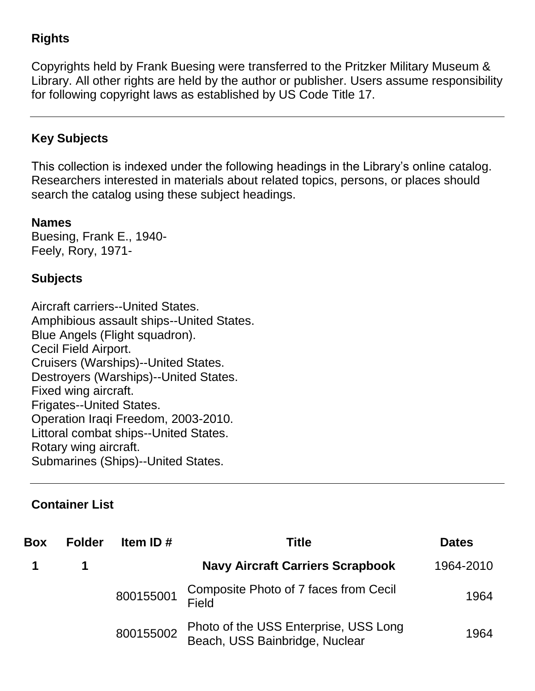### **Rights**

Copyrights held by Frank Buesing were transferred to the Pritzker Military Museum & Library. All other rights are held by the author or publisher. Users assume responsibility for following copyright laws as established by US Code Title 17.

#### **Key Subjects**

This collection is indexed under the following headings in the Library's online catalog. Researchers interested in materials about related topics, persons, or places should search the catalog using these subject headings.

**Names** Buesing, Frank E., 1940- Feely, Rory, 1971-

#### **Subjects**

Aircraft carriers--United States. Amphibious assault ships--United States. Blue Angels (Flight squadron). Cecil Field Airport. Cruisers (Warships)--United States. Destroyers (Warships)--United States. Fixed wing aircraft. Frigates--United States. Operation Iraqi Freedom, 2003-2010. Littoral combat ships--United States. Rotary wing aircraft. Submarines (Ships)--United States.

## **Container List**

| <b>Box</b> | <b>Folder</b> | Item ID#  | <b>Title</b>                                                            | <b>Dates</b> |
|------------|---------------|-----------|-------------------------------------------------------------------------|--------------|
|            |               |           | <b>Navy Aircraft Carriers Scrapbook</b>                                 | 1964-2010    |
|            |               | 800155001 | Composite Photo of 7 faces from Cecil<br>Field                          | 1964         |
|            |               | 800155002 | Photo of the USS Enterprise, USS Long<br>Beach, USS Bainbridge, Nuclear | 1964         |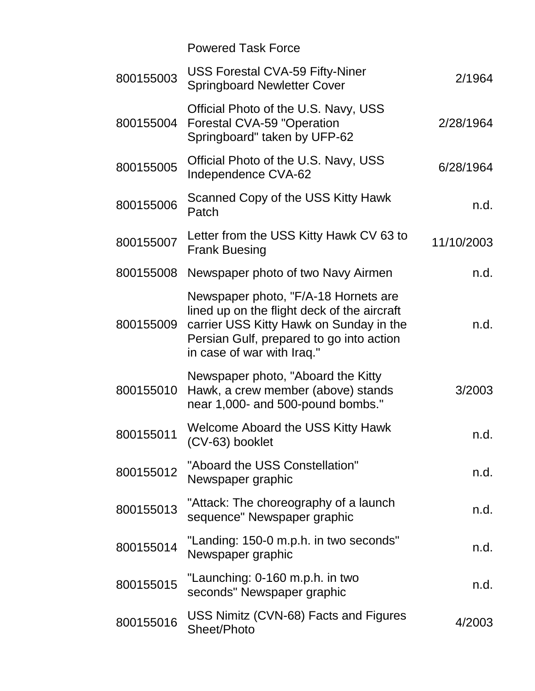|           | <b>Powered Task Force</b>                                                                                                                                                                                |            |
|-----------|----------------------------------------------------------------------------------------------------------------------------------------------------------------------------------------------------------|------------|
| 800155003 | <b>USS Forestal CVA-59 Fifty-Niner</b><br><b>Springboard Newletter Cover</b>                                                                                                                             | 2/1964     |
| 800155004 | Official Photo of the U.S. Navy, USS<br><b>Forestal CVA-59 "Operation</b><br>Springboard" taken by UFP-62                                                                                                | 2/28/1964  |
| 800155005 | Official Photo of the U.S. Navy, USS<br>Independence CVA-62                                                                                                                                              | 6/28/1964  |
| 800155006 | Scanned Copy of the USS Kitty Hawk<br>Patch                                                                                                                                                              | n.d.       |
| 800155007 | Letter from the USS Kitty Hawk CV 63 to<br><b>Frank Buesing</b>                                                                                                                                          | 11/10/2003 |
| 800155008 | Newspaper photo of two Navy Airmen                                                                                                                                                                       | n.d.       |
| 800155009 | Newspaper photo, "F/A-18 Hornets are<br>lined up on the flight deck of the aircraft<br>carrier USS Kitty Hawk on Sunday in the<br>Persian Gulf, prepared to go into action<br>in case of war with Iraq." | n.d.       |
| 800155010 | Newspaper photo, "Aboard the Kitty"<br>Hawk, a crew member (above) stands<br>near 1,000- and 500-pound bombs."                                                                                           | 3/2003     |
| 800155011 | <b>Welcome Aboard the USS Kitty Hawk</b><br>(CV-63) booklet                                                                                                                                              | n.d.       |
| 800155012 | "Aboard the USS Constellation"<br>Newspaper graphic                                                                                                                                                      | n.d.       |
| 800155013 | "Attack: The choreography of a launch<br>sequence" Newspaper graphic                                                                                                                                     | n.d.       |
| 800155014 | "Landing: 150-0 m.p.h. in two seconds"<br>Newspaper graphic                                                                                                                                              | n.d.       |
| 800155015 | "Launching: 0-160 m.p.h. in two<br>seconds" Newspaper graphic                                                                                                                                            | n.d.       |
| 800155016 | USS Nimitz (CVN-68) Facts and Figures<br>Sheet/Photo                                                                                                                                                     | 4/2003     |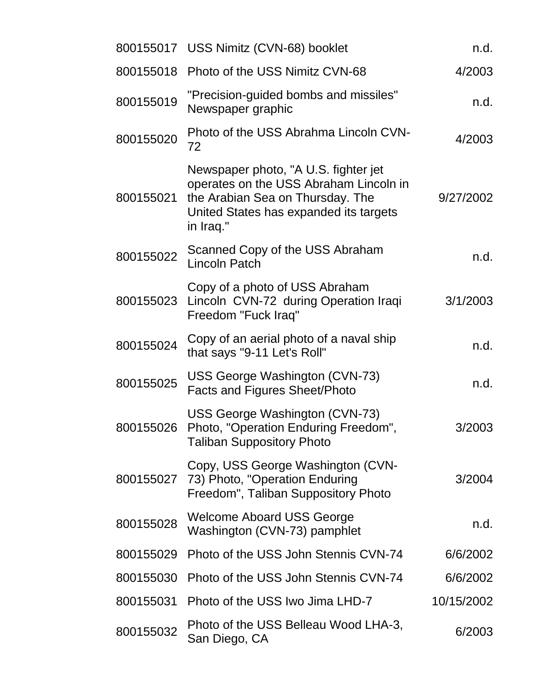|           | 800155017 USS Nimitz (CVN-68) booklet                                                                                                                                     | n.d.       |
|-----------|---------------------------------------------------------------------------------------------------------------------------------------------------------------------------|------------|
|           | 800155018 Photo of the USS Nimitz CVN-68                                                                                                                                  | 4/2003     |
| 800155019 | "Precision-guided bombs and missiles"<br>Newspaper graphic                                                                                                                | n.d.       |
| 800155020 | Photo of the USS Abrahma Lincoln CVN-<br>72                                                                                                                               | 4/2003     |
| 800155021 | Newspaper photo, "A U.S. fighter jet<br>operates on the USS Abraham Lincoln in<br>the Arabian Sea on Thursday. The<br>United States has expanded its targets<br>in Iraq." | 9/27/2002  |
| 800155022 | Scanned Copy of the USS Abraham<br><b>Lincoln Patch</b>                                                                                                                   | n.d.       |
|           | Copy of a photo of USS Abraham<br>800155023 Lincoln CVN-72 during Operation Iraqi<br>Freedom "Fuck Iraq"                                                                  | 3/1/2003   |
| 800155024 | Copy of an aerial photo of a naval ship<br>that says "9-11 Let's Roll"                                                                                                    | n.d.       |
| 800155025 | USS George Washington (CVN-73)<br><b>Facts and Figures Sheet/Photo</b>                                                                                                    | n.d.       |
| 800155026 | USS George Washington (CVN-73)<br>Photo, "Operation Enduring Freedom"<br><b>Taliban Suppository Photo</b>                                                                 | 3/2003     |
| 800155027 | Copy, USS George Washington (CVN-<br>73) Photo, "Operation Enduring<br>Freedom", Taliban Suppository Photo                                                                | 3/2004     |
| 800155028 | <b>Welcome Aboard USS George</b><br>Washington (CVN-73) pamphlet                                                                                                          | n.d.       |
| 800155029 | Photo of the USS John Stennis CVN-74                                                                                                                                      | 6/6/2002   |
| 800155030 | Photo of the USS John Stennis CVN-74                                                                                                                                      | 6/6/2002   |
| 800155031 | Photo of the USS Iwo Jima LHD-7                                                                                                                                           | 10/15/2002 |
| 800155032 | Photo of the USS Belleau Wood LHA-3,<br>San Diego, CA                                                                                                                     | 6/2003     |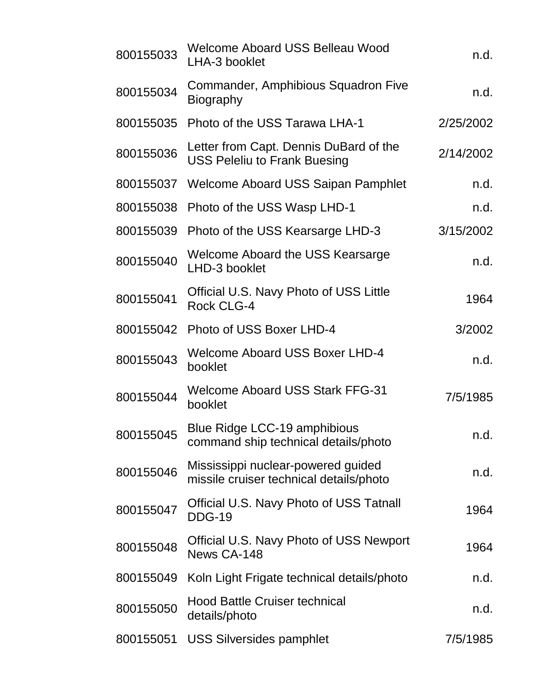| 800155033 | Welcome Aboard USS Belleau Wood<br>LHA-3 booklet                              | n.d.      |
|-----------|-------------------------------------------------------------------------------|-----------|
| 800155034 | Commander, Amphibious Squadron Five<br><b>Biography</b>                       | n.d.      |
| 800155035 | Photo of the USS Tarawa LHA-1                                                 | 2/25/2002 |
| 800155036 | Letter from Capt. Dennis DuBard of the<br><b>USS Peleliu to Frank Buesing</b> | 2/14/2002 |
| 800155037 | Welcome Aboard USS Saipan Pamphlet                                            | n.d.      |
| 800155038 | Photo of the USS Wasp LHD-1                                                   | n.d.      |
| 800155039 | Photo of the USS Kearsarge LHD-3                                              | 3/15/2002 |
| 800155040 | Welcome Aboard the USS Kearsarge<br>LHD-3 booklet                             | n.d.      |
| 800155041 | Official U.S. Navy Photo of USS Little<br><b>Rock CLG-4</b>                   | 1964      |
| 800155042 | Photo of USS Boxer LHD-4                                                      | 3/2002    |
| 800155043 | <b>Welcome Aboard USS Boxer LHD-4</b><br>booklet                              | n.d.      |
| 800155044 | <b>Welcome Aboard USS Stark FFG-31</b><br>booklet                             | 7/5/1985  |
| 800155045 | Blue Ridge LCC-19 amphibious<br>command ship technical details/photo          | n.d.      |
| 800155046 | Mississippi nuclear-powered guided<br>missile cruiser technical details/photo | n.d.      |
| 800155047 | Official U.S. Navy Photo of USS Tatnall<br><b>DDG-19</b>                      | 1964      |
| 800155048 | Official U.S. Navy Photo of USS Newport<br>News CA-148                        | 1964      |
| 800155049 | Koln Light Frigate technical details/photo                                    | n.d.      |
| 800155050 | <b>Hood Battle Cruiser technical</b><br>details/photo                         | n.d.      |
| 800155051 | <b>USS Silversides pamphlet</b>                                               | 7/5/1985  |
|           |                                                                               |           |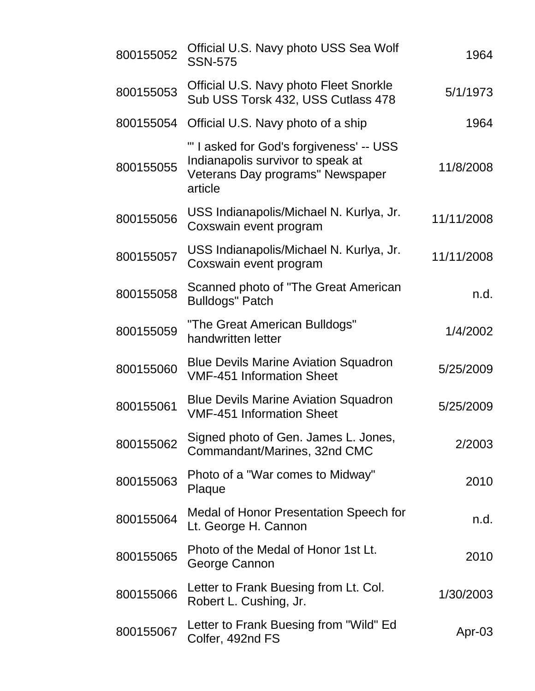| 800155052 | Official U.S. Navy photo USS Sea Wolf<br><b>SSN-575</b>                                                                      | 1964       |
|-----------|------------------------------------------------------------------------------------------------------------------------------|------------|
| 800155053 | <b>Official U.S. Navy photo Fleet Snorkle</b><br>Sub USS Torsk 432, USS Cutlass 478                                          | 5/1/1973   |
| 800155054 | Official U.S. Navy photo of a ship                                                                                           | 1964       |
| 800155055 | "' I asked for God's forgiveness' -- USS<br>Indianapolis survivor to speak at<br>Veterans Day programs" Newspaper<br>article | 11/8/2008  |
| 800155056 | USS Indianapolis/Michael N. Kurlya, Jr.<br>Coxswain event program                                                            | 11/11/2008 |
| 800155057 | USS Indianapolis/Michael N. Kurlya, Jr.<br>Coxswain event program                                                            | 11/11/2008 |
| 800155058 | Scanned photo of "The Great American<br><b>Bulldogs" Patch</b>                                                               | n.d.       |
| 800155059 | "The Great American Bulldogs"<br>handwritten letter                                                                          | 1/4/2002   |
| 800155060 | <b>Blue Devils Marine Aviation Squadron</b><br><b>VMF-451 Information Sheet</b>                                              | 5/25/2009  |
| 800155061 | <b>Blue Devils Marine Aviation Squadron</b><br><b>VMF-451 Information Sheet</b>                                              | 5/25/2009  |
| 800155062 | Signed photo of Gen. James L. Jones,<br>Commandant/Marines, 32nd CMC                                                         | 2/2003     |
| 800155063 | Photo of a "War comes to Midway"<br>Plaque                                                                                   | 2010       |
| 800155064 | Medal of Honor Presentation Speech for<br>Lt. George H. Cannon                                                               | n.d.       |
| 800155065 | Photo of the Medal of Honor 1st Lt.<br>George Cannon                                                                         | 2010       |
| 800155066 | Letter to Frank Buesing from Lt. Col.<br>Robert L. Cushing, Jr.                                                              | 1/30/2003  |
| 800155067 | Letter to Frank Buesing from "Wild" Ed<br>Colfer, 492nd FS                                                                   | Apr-03     |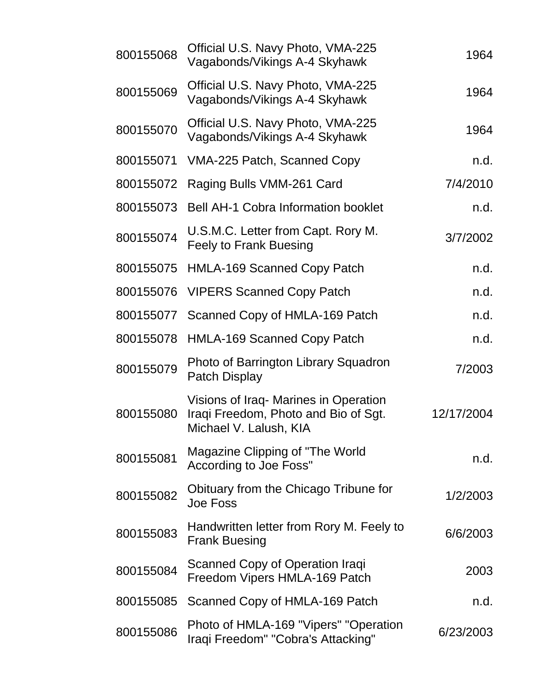| 800155068 | Official U.S. Navy Photo, VMA-225<br>Vagabonds/Vikings A-4 Skyhawk                                      | 1964       |
|-----------|---------------------------------------------------------------------------------------------------------|------------|
| 800155069 | Official U.S. Navy Photo, VMA-225<br>Vagabonds/Vikings A-4 Skyhawk                                      | 1964       |
| 800155070 | Official U.S. Navy Photo, VMA-225<br>Vagabonds/Vikings A-4 Skyhawk                                      | 1964       |
| 800155071 | VMA-225 Patch, Scanned Copy                                                                             | n.d.       |
| 800155072 | Raging Bulls VMM-261 Card                                                                               | 7/4/2010   |
| 800155073 | <b>Bell AH-1 Cobra Information booklet</b>                                                              | n.d.       |
| 800155074 | U.S.M.C. Letter from Capt. Rory M.<br><b>Feely to Frank Buesing</b>                                     | 3/7/2002   |
| 800155075 | <b>HMLA-169 Scanned Copy Patch</b>                                                                      | n.d.       |
| 800155076 | <b>VIPERS Scanned Copy Patch</b>                                                                        | n.d.       |
| 800155077 | Scanned Copy of HMLA-169 Patch                                                                          | n.d.       |
| 800155078 | <b>HMLA-169 Scanned Copy Patch</b>                                                                      | n.d.       |
| 800155079 | Photo of Barrington Library Squadron<br><b>Patch Display</b>                                            | 7/2003     |
| 800155080 | Visions of Iraq- Marines in Operation<br>Iraqi Freedom, Photo and Bio of Sgt.<br>Michael V. Lalush, KIA | 12/17/2004 |
| 800155081 | Magazine Clipping of "The World"<br>According to Joe Foss"                                              | n.d.       |
| 800155082 | Obituary from the Chicago Tribune for<br><b>Joe Foss</b>                                                | 1/2/2003   |
| 800155083 | Handwritten letter from Rory M. Feely to<br><b>Frank Buesing</b>                                        | 6/6/2003   |
| 800155084 | Scanned Copy of Operation Iraqi<br>Freedom Vipers HMLA-169 Patch                                        | 2003       |
| 800155085 | Scanned Copy of HMLA-169 Patch                                                                          | n.d.       |
| 800155086 | Photo of HMLA-169 "Vipers" "Operation<br>Iraqi Freedom" "Cobra's Attacking"                             | 6/23/2003  |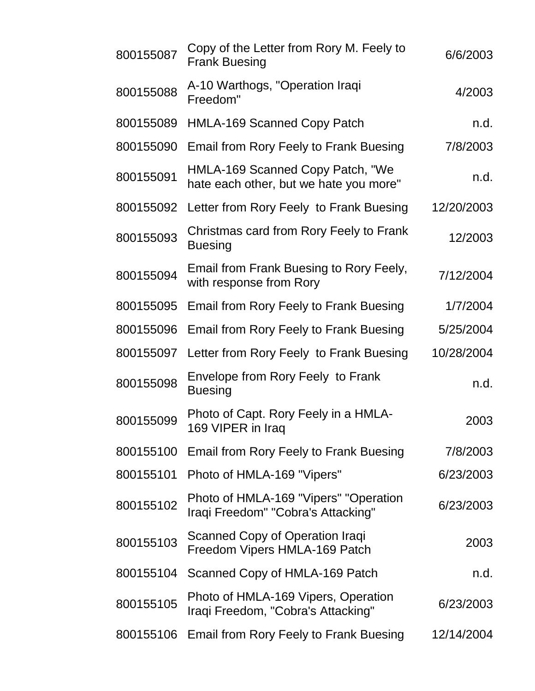| 800155087 | Copy of the Letter from Rory M. Feely to<br><b>Frank Buesing</b>            | 6/6/2003   |
|-----------|-----------------------------------------------------------------------------|------------|
| 800155088 | A-10 Warthogs, "Operation Iraqi<br>Freedom"                                 | 4/2003     |
| 800155089 | <b>HMLA-169 Scanned Copy Patch</b>                                          | n.d.       |
| 800155090 | <b>Email from Rory Feely to Frank Buesing</b>                               | 7/8/2003   |
| 800155091 | HMLA-169 Scanned Copy Patch, "We<br>hate each other, but we hate you more"  | n.d.       |
| 800155092 | Letter from Rory Feely to Frank Buesing                                     | 12/20/2003 |
| 800155093 | Christmas card from Rory Feely to Frank<br><b>Buesing</b>                   | 12/2003    |
| 800155094 | Email from Frank Buesing to Rory Feely,<br>with response from Rory          | 7/12/2004  |
| 800155095 | Email from Rory Feely to Frank Buesing                                      | 1/7/2004   |
| 800155096 | Email from Rory Feely to Frank Buesing                                      | 5/25/2004  |
| 800155097 | Letter from Rory Feely to Frank Buesing                                     | 10/28/2004 |
| 800155098 | Envelope from Rory Feely to Frank<br><b>Buesing</b>                         | n.d.       |
| 800155099 | Photo of Capt. Rory Feely in a HMLA-<br>169 VIPER in Iraq                   | 2003       |
| 800155100 | Email from Rory Feely to Frank Buesing                                      | 7/8/2003   |
| 800155101 | Photo of HMLA-169 "Vipers"                                                  | 6/23/2003  |
| 800155102 | Photo of HMLA-169 "Vipers" "Operation<br>Iraqi Freedom" "Cobra's Attacking" | 6/23/2003  |
| 800155103 | Scanned Copy of Operation Iraqi<br>Freedom Vipers HMLA-169 Patch            | 2003       |
| 800155104 | Scanned Copy of HMLA-169 Patch                                              | n.d.       |
| 800155105 | Photo of HMLA-169 Vipers, Operation<br>Iraqi Freedom, "Cobra's Attacking"   | 6/23/2003  |
| 800155106 | Email from Rory Feely to Frank Buesing                                      | 12/14/2004 |
|           |                                                                             |            |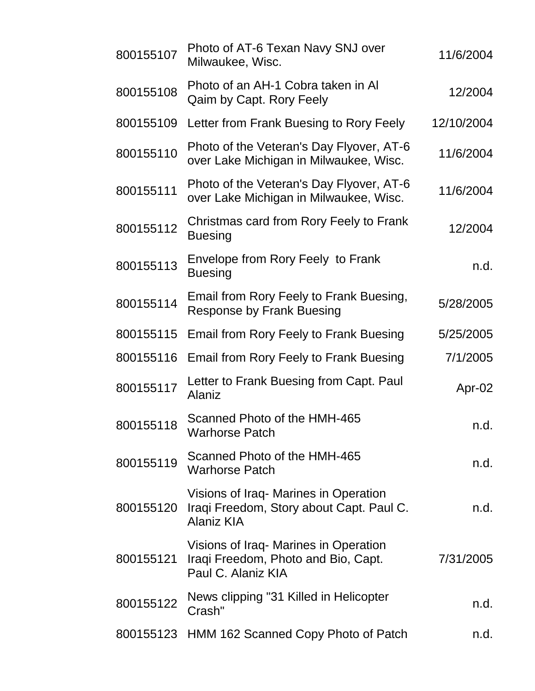| 800155107 | Photo of AT-6 Texan Navy SNJ over<br>Milwaukee, Wisc.                                             | 11/6/2004  |
|-----------|---------------------------------------------------------------------------------------------------|------------|
| 800155108 | Photo of an AH-1 Cobra taken in Al<br>Qaim by Capt. Rory Feely                                    | 12/2004    |
| 800155109 | Letter from Frank Buesing to Rory Feely                                                           | 12/10/2004 |
| 800155110 | Photo of the Veteran's Day Flyover, AT-6<br>over Lake Michigan in Milwaukee, Wisc.                | 11/6/2004  |
| 800155111 | Photo of the Veteran's Day Flyover, AT-6<br>over Lake Michigan in Milwaukee, Wisc.                | 11/6/2004  |
| 800155112 | Christmas card from Rory Feely to Frank<br><b>Buesing</b>                                         | 12/2004    |
| 800155113 | Envelope from Rory Feely to Frank<br><b>Buesing</b>                                               | n.d.       |
| 800155114 | Email from Rory Feely to Frank Buesing,<br><b>Response by Frank Buesing</b>                       | 5/28/2005  |
| 800155115 | Email from Rory Feely to Frank Buesing                                                            | 5/25/2005  |
| 800155116 | <b>Email from Rory Feely to Frank Buesing</b>                                                     | 7/1/2005   |
| 800155117 | Letter to Frank Buesing from Capt. Paul<br>Alaniz                                                 | Apr-02     |
| 800155118 | Scanned Photo of the HMH-465<br><b>Warhorse Patch</b>                                             | n.d.       |
| 800155119 | Scanned Photo of the HMH-465<br><b>Warhorse Patch</b>                                             | n.d.       |
| 800155120 | Visions of Iraq Marines in Operation<br>Iraqi Freedom, Story about Capt. Paul C.<br>Alaniz KIA    | n.d.       |
| 800155121 | Visions of Iraq Marines in Operation<br>Iraqi Freedom, Photo and Bio, Capt.<br>Paul C. Alaniz KIA | 7/31/2005  |
| 800155122 | News clipping "31 Killed in Helicopter<br>Crash"                                                  | n.d.       |
|           | 800155123 HMM 162 Scanned Copy Photo of Patch                                                     | n.d.       |
|           |                                                                                                   |            |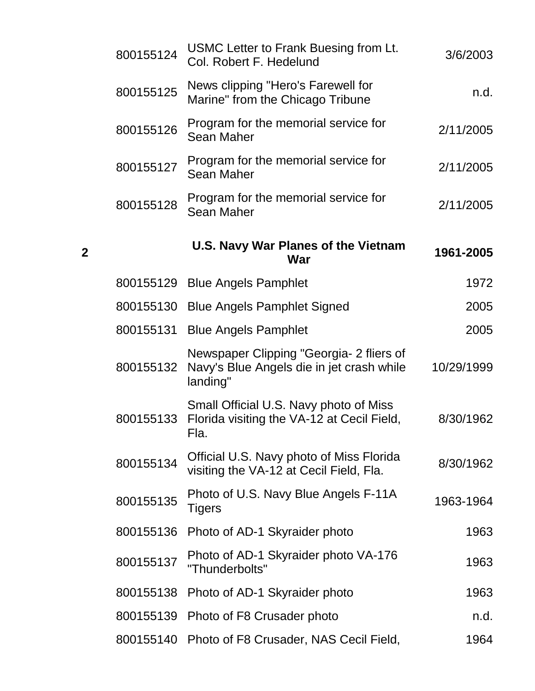| 800155124 | USMC Letter to Frank Buesing from Lt.<br>Col. Robert F. Hedelund                                  | 3/6/2003   |
|-----------|---------------------------------------------------------------------------------------------------|------------|
| 800155125 | News clipping "Hero's Farewell for<br>Marine" from the Chicago Tribune                            | n.d.       |
| 800155126 | Program for the memorial service for<br><b>Sean Maher</b>                                         | 2/11/2005  |
| 800155127 | Program for the memorial service for<br><b>Sean Maher</b>                                         | 2/11/2005  |
| 800155128 | Program for the memorial service for<br><b>Sean Maher</b>                                         | 2/11/2005  |
|           | <b>U.S. Navy War Planes of the Vietnam</b><br>War                                                 | 1961-2005  |
| 800155129 | <b>Blue Angels Pamphlet</b>                                                                       | 1972       |
| 800155130 | <b>Blue Angels Pamphlet Signed</b>                                                                | 2005       |
| 800155131 | <b>Blue Angels Pamphlet</b>                                                                       | 2005       |
| 800155132 | Newspaper Clipping "Georgia- 2 fliers of<br>Navy's Blue Angels die in jet crash while<br>landing" | 10/29/1999 |
| 800155133 | Small Official U.S. Navy photo of Miss<br>Florida visiting the VA-12 at Cecil Field,<br>Fla.      | 8/30/1962  |
| 800155134 | Official U.S. Navy photo of Miss Florida<br>visiting the VA-12 at Cecil Field, Fla.               | 8/30/1962  |
| 800155135 | Photo of U.S. Navy Blue Angels F-11A<br><b>Tigers</b>                                             | 1963-1964  |
| 800155136 | Photo of AD-1 Skyraider photo                                                                     | 1963       |
| 800155137 | Photo of AD-1 Skyraider photo VA-176<br>"Thunderbolts"                                            | 1963       |
| 800155138 | Photo of AD-1 Skyraider photo                                                                     | 1963       |
| 800155139 | Photo of F8 Crusader photo                                                                        | n.d.       |
| 800155140 | Photo of F8 Crusader, NAS Cecil Field,                                                            | 1964       |

**2**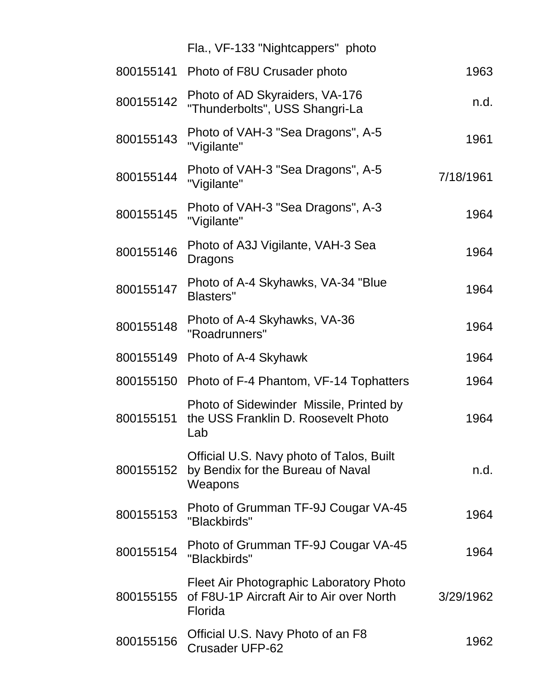|           | Fla., VF-133 "Nightcappers" photo                                                              |           |
|-----------|------------------------------------------------------------------------------------------------|-----------|
| 800155141 | Photo of F8U Crusader photo                                                                    | 1963      |
| 800155142 | Photo of AD Skyraiders, VA-176<br>"Thunderbolts", USS Shangri-La                               | n.d.      |
| 800155143 | Photo of VAH-3 "Sea Dragons", A-5<br>"Vigilante"                                               | 1961      |
| 800155144 | Photo of VAH-3 "Sea Dragons", A-5<br>"Vigilante"                                               | 7/18/1961 |
| 800155145 | Photo of VAH-3 "Sea Dragons", A-3<br>"Vigilante"                                               | 1964      |
| 800155146 | Photo of A3J Vigilante, VAH-3 Sea<br>Dragons                                                   | 1964      |
| 800155147 | Photo of A-4 Skyhawks, VA-34 "Blue<br><b>Blasters"</b>                                         | 1964      |
| 800155148 | Photo of A-4 Skyhawks, VA-36<br>"Roadrunners"                                                  | 1964      |
| 800155149 | Photo of A-4 Skyhawk                                                                           | 1964      |
| 800155150 | Photo of F-4 Phantom, VF-14 Tophatters                                                         | 1964      |
| 800155151 | Photo of Sidewinder Missile, Printed by<br>the USS Franklin D. Roosevelt Photo<br>Lab          | 1964      |
| 800155152 | Official U.S. Navy photo of Talos, Built<br>by Bendix for the Bureau of Naval<br>Weapons       | n.d.      |
| 800155153 | Photo of Grumman TF-9J Cougar VA-45<br>"Blackbirds"                                            | 1964      |
| 800155154 | Photo of Grumman TF-9J Cougar VA-45<br>"Blackbirds"                                            | 1964      |
| 800155155 | Fleet Air Photographic Laboratory Photo<br>of F8U-1P Aircraft Air to Air over North<br>Florida | 3/29/1962 |
| 800155156 | Official U.S. Navy Photo of an F8<br><b>Crusader UFP-62</b>                                    | 1962      |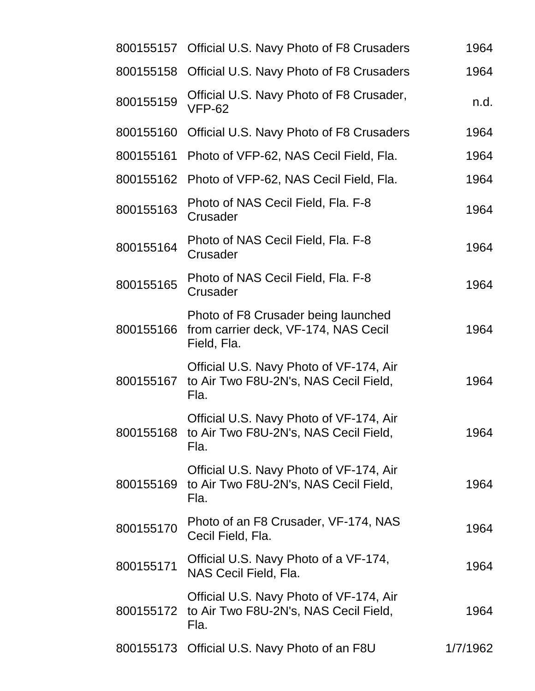|           | 800155157 Official U.S. Navy Photo of F8 Crusaders                                                 | 1964     |
|-----------|----------------------------------------------------------------------------------------------------|----------|
| 800155158 | Official U.S. Navy Photo of F8 Crusaders                                                           | 1964     |
| 800155159 | Official U.S. Navy Photo of F8 Crusader,<br><b>VFP-62</b>                                          | n.d.     |
| 800155160 | Official U.S. Navy Photo of F8 Crusaders                                                           | 1964     |
| 800155161 | Photo of VFP-62, NAS Cecil Field, Fla.                                                             | 1964     |
| 800155162 | Photo of VFP-62, NAS Cecil Field, Fla.                                                             | 1964     |
| 800155163 | Photo of NAS Cecil Field, Fla. F-8<br>Crusader                                                     | 1964     |
| 800155164 | Photo of NAS Cecil Field, Fla. F-8<br>Crusader                                                     | 1964     |
| 800155165 | Photo of NAS Cecil Field, Fla. F-8<br>Crusader                                                     | 1964     |
| 800155166 | Photo of F8 Crusader being launched<br>from carrier deck, VF-174, NAS Cecil<br>Field, Fla.         | 1964     |
| 800155167 | Official U.S. Navy Photo of VF-174, Air<br>to Air Two F8U-2N's, NAS Cecil Field,<br>Fla.           | 1964     |
|           | Official U.S. Navy Photo of VF-174, Air<br>800155168 to Air Two F8U-2N's, NAS Cecil Field,<br>Fla. | 1964     |
| 800155169 | Official U.S. Navy Photo of VF-174, Air<br>to Air Two F8U-2N's, NAS Cecil Field,<br>Fla.           | 1964     |
| 800155170 | Photo of an F8 Crusader, VF-174, NAS<br>Cecil Field, Fla.                                          | 1964     |
| 800155171 | Official U.S. Navy Photo of a VF-174,<br>NAS Cecil Field, Fla.                                     | 1964     |
| 800155172 | Official U.S. Navy Photo of VF-174, Air<br>to Air Two F8U-2N's, NAS Cecil Field,<br>Fla.           | 1964     |
|           | 800155173 Official U.S. Navy Photo of an F8U                                                       | 1/7/1962 |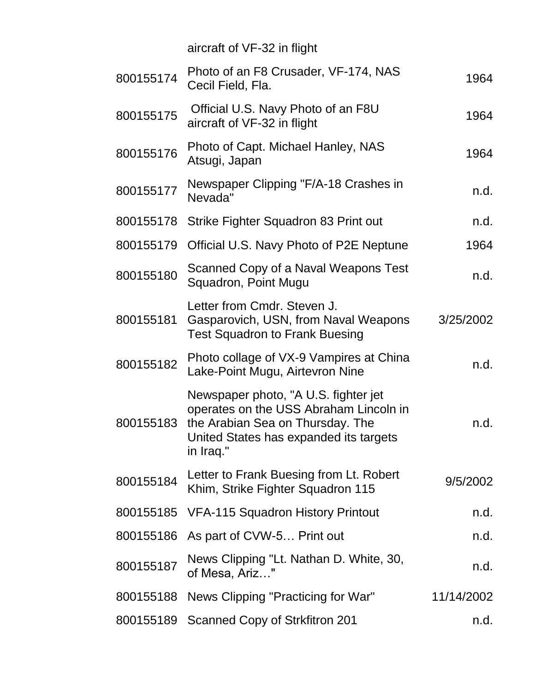|           | aircraft of VF-32 in flight                                                                                                                                               |            |
|-----------|---------------------------------------------------------------------------------------------------------------------------------------------------------------------------|------------|
| 800155174 | Photo of an F8 Crusader, VF-174, NAS<br>Cecil Field, Fla.                                                                                                                 | 1964       |
| 800155175 | Official U.S. Navy Photo of an F8U<br>aircraft of VF-32 in flight                                                                                                         | 1964       |
| 800155176 | Photo of Capt. Michael Hanley, NAS<br>Atsugi, Japan                                                                                                                       | 1964       |
| 800155177 | Newspaper Clipping "F/A-18 Crashes in<br>Nevada"                                                                                                                          | n.d.       |
| 800155178 | Strike Fighter Squadron 83 Print out                                                                                                                                      | n.d.       |
| 800155179 | Official U.S. Navy Photo of P2E Neptune                                                                                                                                   | 1964       |
| 800155180 | Scanned Copy of a Naval Weapons Test<br>Squadron, Point Mugu                                                                                                              | n.d.       |
| 800155181 | Letter from Cmdr. Steven J.<br>Gasparovich, USN, from Naval Weapons<br><b>Test Squadron to Frank Buesing</b>                                                              | 3/25/2002  |
| 800155182 | Photo collage of VX-9 Vampires at China<br>Lake-Point Mugu, Airtevron Nine                                                                                                | n.d.       |
| 800155183 | Newspaper photo, "A U.S. fighter jet<br>operates on the USS Abraham Lincoln in<br>the Arabian Sea on Thursday. The<br>United States has expanded its targets<br>in Iraq." | n.d.       |
| 800155184 | Letter to Frank Buesing from Lt. Robert<br>Khim, Strike Fighter Squadron 115                                                                                              | 9/5/2002   |
| 800155185 | <b>VFA-115 Squadron History Printout</b>                                                                                                                                  | n.d.       |
| 800155186 | As part of CVW-5 Print out                                                                                                                                                | n.d.       |
| 800155187 | News Clipping "Lt. Nathan D. White, 30,<br>of Mesa, Ariz"                                                                                                                 | n.d.       |
| 800155188 | News Clipping "Practicing for War"                                                                                                                                        | 11/14/2002 |
| 800155189 | Scanned Copy of Strkfitron 201                                                                                                                                            | n.d.       |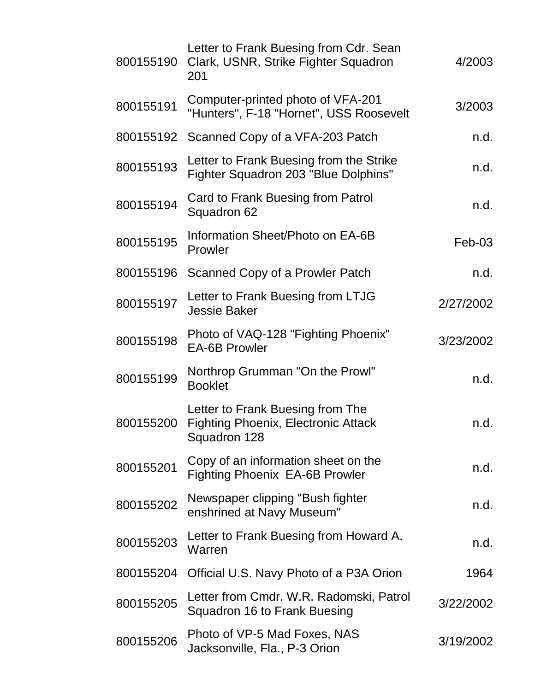| 800155190 | Letter to Frank Buesing from Cdr. Sean<br>Clark, USNR, Strike Fighter Squadron<br>201          | 4/2003    |
|-----------|------------------------------------------------------------------------------------------------|-----------|
| 800155191 | Computer-printed photo of VFA-201<br>"Hunters", F-18 "Hornet", USS Roosevelt                   | 3/2003    |
| 800155192 | Scanned Copy of a VFA-203 Patch                                                                | n.d.      |
| 800155193 | Letter to Frank Buesing from the Strike<br>Fighter Squadron 203 "Blue Dolphins"                | n.d.      |
| 800155194 | Card to Frank Buesing from Patrol<br>Squadron 62                                               | n.d.      |
| 800155195 | Information Sheet/Photo on EA-6B<br>Prowler                                                    | $Feb-03$  |
| 800155196 | Scanned Copy of a Prowler Patch                                                                | n.d.      |
| 800155197 | Letter to Frank Buesing from LTJG<br><b>Jessie Baker</b>                                       | 2/27/2002 |
| 800155198 | Photo of VAQ-128 "Fighting Phoenix"<br><b>EA-6B Prowler</b>                                    | 3/23/2002 |
| 800155199 | Northrop Grumman "On the Prowl"<br><b>Booklet</b>                                              | n.d.      |
| 800155200 | Letter to Frank Buesing from The<br><b>Fighting Phoenix, Electronic Attack</b><br>Squadron 128 | n.d.      |
| 800155201 | Copy of an information sheet on the<br><b>Fighting Phoenix EA-6B Prowler</b>                   | n.d.      |
| 800155202 | Newspaper clipping "Bush fighter<br>enshrined at Navy Museum"                                  | n.d.      |
| 800155203 | Letter to Frank Buesing from Howard A.<br>Warren                                               | n.d.      |
| 800155204 | Official U.S. Navy Photo of a P3A Orion                                                        | 1964      |
| 800155205 | Letter from Cmdr. W.R. Radomski, Patrol<br>Squadron 16 to Frank Buesing                        | 3/22/2002 |
| 800155206 | Photo of VP-5 Mad Foxes, NAS<br>Jacksonville, Fla., P-3 Orion                                  | 3/19/2002 |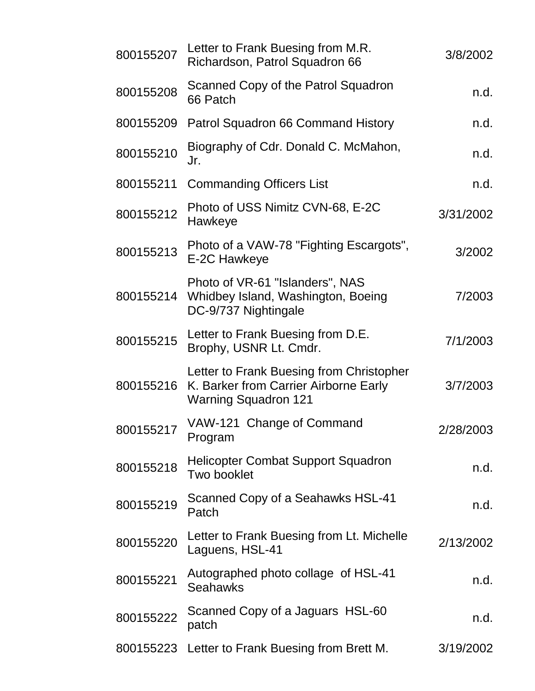| 800155207 | Letter to Frank Buesing from M.R.<br>Richardson, Patrol Squadron 66                                              | 3/8/2002  |
|-----------|------------------------------------------------------------------------------------------------------------------|-----------|
| 800155208 | Scanned Copy of the Patrol Squadron<br>66 Patch                                                                  | n.d.      |
| 800155209 | Patrol Squadron 66 Command History                                                                               | n.d.      |
| 800155210 | Biography of Cdr. Donald C. McMahon,<br>Jr.                                                                      | n.d.      |
| 800155211 | <b>Commanding Officers List</b>                                                                                  | n.d.      |
| 800155212 | Photo of USS Nimitz CVN-68, E-2C<br>Hawkeye                                                                      | 3/31/2002 |
| 800155213 | Photo of a VAW-78 "Fighting Escargots",<br>E-2C Hawkeye                                                          | 3/2002    |
| 800155214 | Photo of VR-61 "Islanders", NAS<br>Whidbey Island, Washington, Boeing<br>DC-9/737 Nightingale                    | 7/2003    |
| 800155215 | Letter to Frank Buesing from D.E.<br>Brophy, USNR Lt. Cmdr.                                                      | 7/1/2003  |
| 800155216 | Letter to Frank Buesing from Christopher<br>K. Barker from Carrier Airborne Early<br><b>Warning Squadron 121</b> | 3/7/2003  |
| 800155217 | VAW-121 Change of Command<br>Program                                                                             | 2/28/2003 |
| 800155218 | <b>Helicopter Combat Support Squadron</b><br>Two booklet                                                         | n.d.      |
| 800155219 | Scanned Copy of a Seahawks HSL-41<br>Patch                                                                       | n.d.      |
| 800155220 | Letter to Frank Buesing from Lt. Michelle<br>Laguens, HSL-41                                                     | 2/13/2002 |
| 800155221 | Autographed photo collage of HSL-41<br><b>Seahawks</b>                                                           | n.d.      |
| 800155222 | Scanned Copy of a Jaguars HSL-60<br>patch                                                                        | n.d.      |
|           | 800155223 Letter to Frank Buesing from Brett M.                                                                  | 3/19/2002 |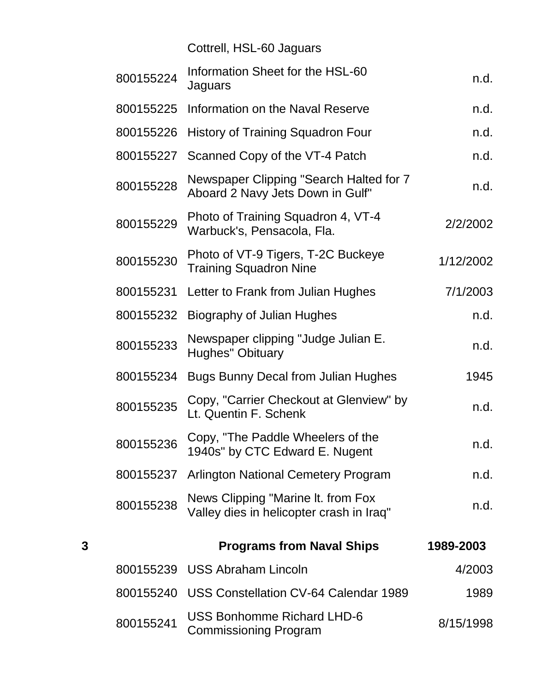Cottrell, HSL-60 Jaguars

|   | 800155224 | Information Sheet for the HSL-60<br>Jaguars                                    | n.d.      |
|---|-----------|--------------------------------------------------------------------------------|-----------|
|   | 800155225 | Information on the Naval Reserve                                               | n.d.      |
|   | 800155226 | <b>History of Training Squadron Four</b>                                       | n.d.      |
|   | 800155227 | Scanned Copy of the VT-4 Patch                                                 | n.d.      |
|   | 800155228 | Newspaper Clipping "Search Halted for 7<br>Aboard 2 Navy Jets Down in Gulf"    | n.d.      |
|   | 800155229 | Photo of Training Squadron 4, VT-4<br>Warbuck's, Pensacola, Fla.               | 2/2/2002  |
|   | 800155230 | Photo of VT-9 Tigers, T-2C Buckeye<br><b>Training Squadron Nine</b>            | 1/12/2002 |
|   | 800155231 | Letter to Frank from Julian Hughes                                             | 7/1/2003  |
|   | 800155232 | Biography of Julian Hughes                                                     | n.d.      |
|   | 800155233 | Newspaper clipping "Judge Julian E.<br><b>Hughes" Obituary</b>                 | n.d.      |
|   | 800155234 | <b>Bugs Bunny Decal from Julian Hughes</b>                                     | 1945      |
|   | 800155235 | Copy, "Carrier Checkout at Glenview" by<br>Lt. Quentin F. Schenk               | n.d.      |
|   | 800155236 | Copy, "The Paddle Wheelers of the<br>1940s" by CTC Edward E. Nugent            | n.d.      |
|   | 800155237 | <b>Arlington National Cemetery Program</b>                                     | n.d.      |
|   | 800155238 | News Clipping "Marine It. from Fox<br>Valley dies in helicopter crash in Iraq" | n.d.      |
| 3 |           | <b>Programs from Naval Ships</b>                                               | 1989-2003 |
|   |           | 800155239 USS Abraham Lincoln                                                  | 4/2003    |
|   | 800155240 | USS Constellation CV-64 Calendar 1989                                          | 1989      |
|   | 800155241 | <b>USS Bonhomme Richard LHD-6</b><br><b>Commissioning Program</b>              | 8/15/1998 |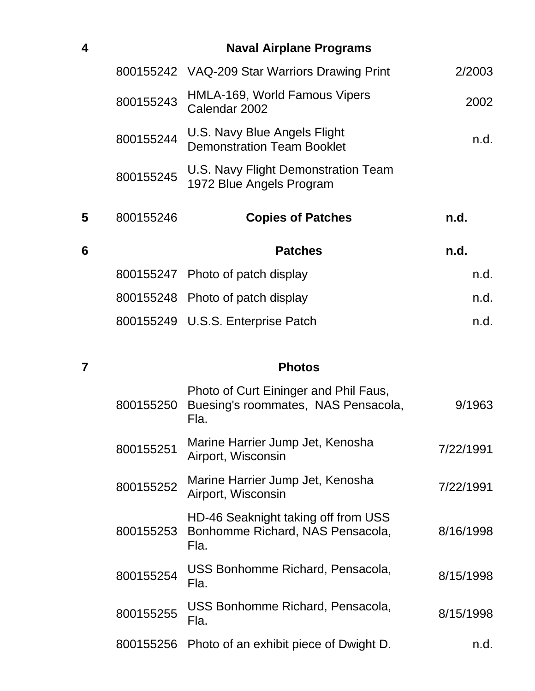| 4 |           | <b>Naval Airplane Programs</b>                                    |        |
|---|-----------|-------------------------------------------------------------------|--------|
|   |           | 800155242 VAQ-209 Star Warriors Drawing Print                     | 2/2003 |
|   | 800155243 | HMLA-169, World Famous Vipers<br>Calendar 2002                    | 2002   |
|   | 800155244 | U.S. Navy Blue Angels Flight<br><b>Demonstration Team Booklet</b> | n.d.   |
|   | 800155245 | U.S. Navy Flight Demonstration Team<br>1972 Blue Angels Program   |        |
| 5 | 800155246 | <b>Copies of Patches</b>                                          | n.d.   |
| 6 |           | <b>Patches</b>                                                    | n.d.   |
|   |           | 800155247 Photo of patch display                                  | n.d.   |
|   |           | 800155248 Photo of patch display                                  | n.d.   |
|   |           | 800155249 U.S.S. Enterprise Patch                                 | n.d.   |
|   |           |                                                                   |        |

## **7 Photos**

| 800155250 | Photo of Curt Eininger and Phil Faus,<br>Buesing's roommates, NAS Pensacola,<br>Fla. | 9/1963    |
|-----------|--------------------------------------------------------------------------------------|-----------|
| 800155251 | Marine Harrier Jump Jet, Kenosha<br>Airport, Wisconsin                               | 7/22/1991 |
| 800155252 | Marine Harrier Jump Jet, Kenosha<br>Airport, Wisconsin                               | 7/22/1991 |
| 800155253 | HD-46 Seaknight taking off from USS<br>Bonhomme Richard, NAS Pensacola,<br>Fla.      | 8/16/1998 |
| 800155254 | USS Bonhomme Richard, Pensacola,<br>Fla.                                             | 8/15/1998 |
| 800155255 | USS Bonhomme Richard, Pensacola,<br>Fla.                                             | 8/15/1998 |
| 800155256 | Photo of an exhibit piece of Dwight D.                                               | n.d.      |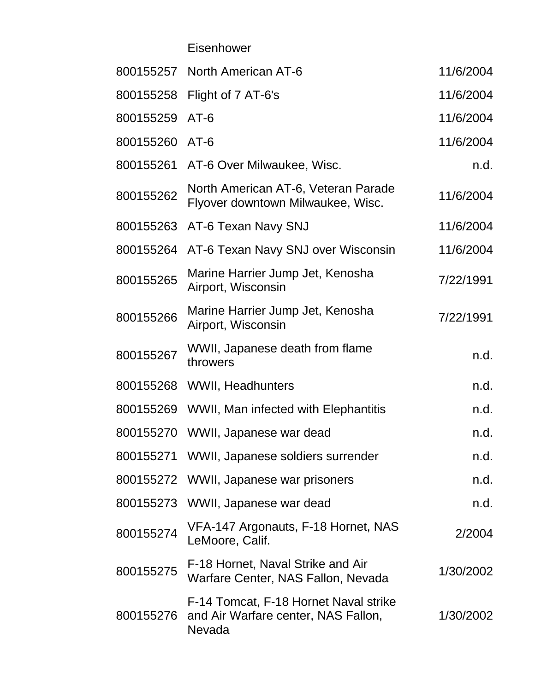Eisenhower

|                | 800155257 North American AT-6                                                          | 11/6/2004 |
|----------------|----------------------------------------------------------------------------------------|-----------|
|                | 800155258 Flight of 7 AT-6's                                                           | 11/6/2004 |
| 800155259      | $AT-6$                                                                                 | 11/6/2004 |
| 800155260 AT-6 |                                                                                        | 11/6/2004 |
|                | 800155261 AT-6 Over Milwaukee, Wisc.                                                   | n.d.      |
| 800155262      | North American AT-6, Veteran Parade<br>Flyover downtown Milwaukee, Wisc.               | 11/6/2004 |
| 800155263      | AT-6 Texan Navy SNJ                                                                    | 11/6/2004 |
| 800155264      | AT-6 Texan Navy SNJ over Wisconsin                                                     | 11/6/2004 |
| 800155265      | Marine Harrier Jump Jet, Kenosha<br>Airport, Wisconsin                                 | 7/22/1991 |
| 800155266      | Marine Harrier Jump Jet, Kenosha<br>Airport, Wisconsin                                 | 7/22/1991 |
| 800155267      | WWII, Japanese death from flame<br>throwers                                            | n.d.      |
|                | 800155268 WWII, Headhunters                                                            | n.d.      |
|                | 800155269 WWII, Man infected with Elephantitis                                         | n.d.      |
|                | 800155270 WWII, Japanese war dead                                                      | n.d.      |
|                | 800155271 WWII, Japanese soldiers surrender                                            | n.d.      |
|                | 800155272 WWII, Japanese war prisoners                                                 | n.d.      |
|                | 800155273 WWII, Japanese war dead                                                      | n.d.      |
| 800155274      | VFA-147 Argonauts, F-18 Hornet, NAS<br>LeMoore, Calif.                                 | 2/2004    |
| 800155275      | F-18 Hornet, Naval Strike and Air<br>Warfare Center, NAS Fallon, Nevada                | 1/30/2002 |
| 800155276      | F-14 Tomcat, F-18 Hornet Naval strike<br>and Air Warfare center, NAS Fallon,<br>Nevada | 1/30/2002 |